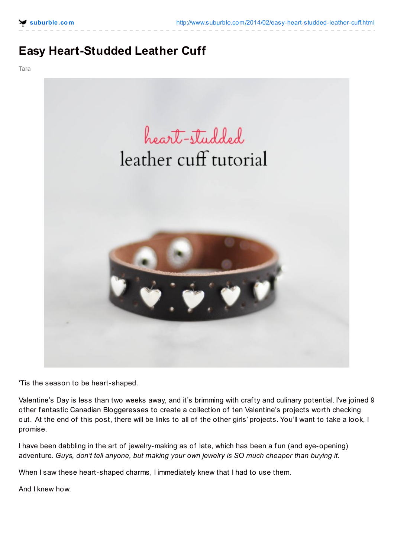## **Easy Heart-Studded Leather Cuff**

Tara



'Tis the season to be heart-shaped.

Valentine's Day is less than two weeks away, and it's brimming with craf ty and culinary potential. I've joined 9 other fantastic Canadian Bloggeresses to create a collection of ten Valentine's projects worth checking out. At the end of this post, there will be links to all of the other girls' projects. You'll want to take a look, I promise.

I have been dabbling in the art of jewelry-making as of late, which has been a fun (and eye-opening) adventure. *Guys, don't tell anyone, but making your own jewelry is SO much cheaper than buying it.*

When I saw these heart-shaped charms, I immediately knew that I had to use them.

And I knew how.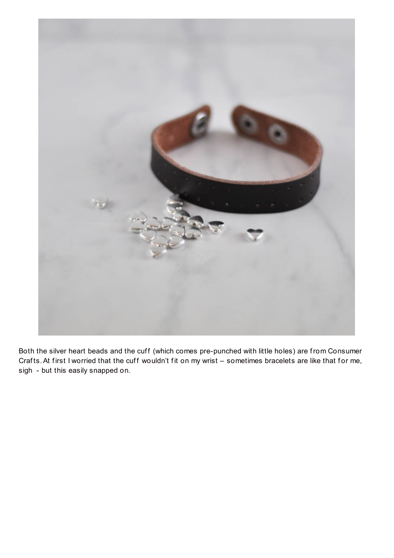

Both the silver heart beads and the cuff (which comes pre-punched with little holes) are from Consumer Crafts. At first I worried that the cuff wouldn't fit on my wrist – sometimes bracelets are like that for me, sigh - but this easily snapped on.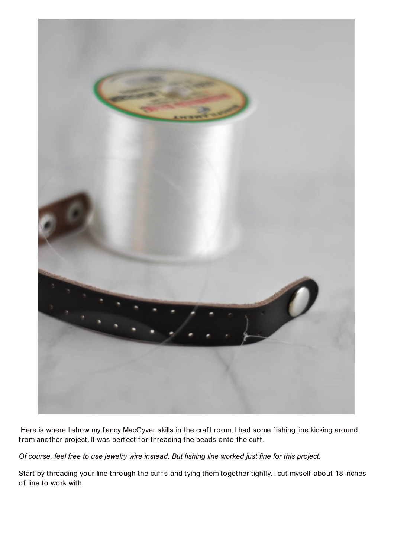

Here is where I show my fancy MacGyver skills in the craft room. I had some fishing line kicking around from another project. It was perfect for threading the beads onto the cuff.

Of course, feel free to use jewelry wire instead. But fishing line worked just fine for this project.

Start by threading your line through the cuffs and tying them together tightly. I cut myself about 18 inches of line to work with.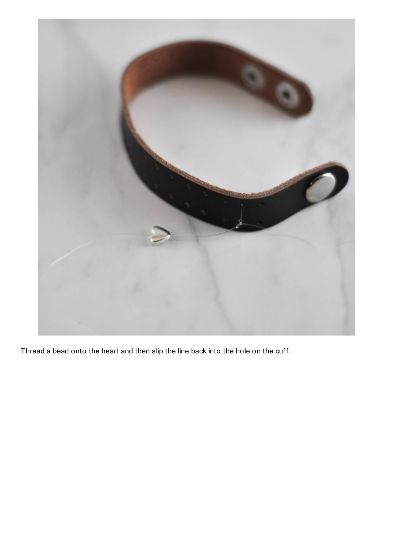

Thread a bead onto the heart and then slip the line back into the hole on the cuff.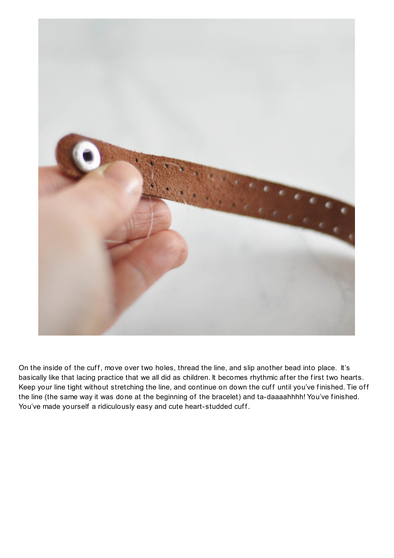

On the inside of the cuff, move over two holes, thread the line, and slip another bead into place. It's basically like that lacing practice that we all did as children. It becomes rhythmic after the first two hearts. Keep your line tight without stretching the line, and continue on down the cuff until you've finished. Tie off the line (the same way it was done at the beginning of the bracelet) and ta-daaaahhhh! You've finished. You've made yourself a ridiculously easy and cute heart-studded cuff.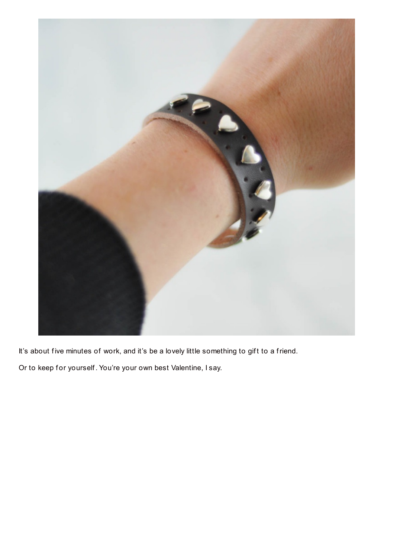

It's about five minutes of work, and it's be a lovely little something to gift to a friend.

Or to keep for yourself. You're your own best Valentine, I say.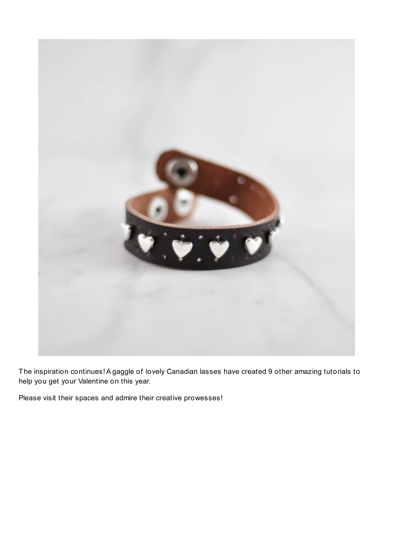

The inspiration continues!A gaggle of lovely Canadian lasses have created 9 other amazing tutorials to help you get your Valentine on this year.

Please visit their spaces and admire their creative prowesses!